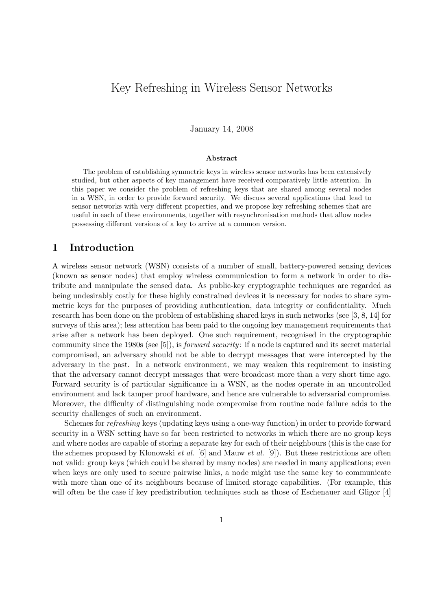# Key Refreshing in Wireless Sensor Networks

January 14, 2008

#### Abstract

The problem of establishing symmetric keys in wireless sensor networks has been extensively studied, but other aspects of key management have received comparatively little attention. In this paper we consider the problem of refreshing keys that are shared among several nodes in a WSN, in order to provide forward security. We discuss several applications that lead to sensor networks with very different properties, and we propose key refreshing schemes that are useful in each of these environments, together with resynchronisation methods that allow nodes possessing different versions of a key to arrive at a common version.

## 1 Introduction

A wireless sensor network (WSN) consists of a number of small, battery-powered sensing devices (known as sensor nodes) that employ wireless communication to form a network in order to distribute and manipulate the sensed data. As public-key cryptographic techniques are regarded as being undesirably costly for these highly constrained devices it is necessary for nodes to share symmetric keys for the purposes of providing authentication, data integrity or confidentiality. Much research has been done on the problem of establishing shared keys in such networks (see [3, 8, 14] for surveys of this area); less attention has been paid to the ongoing key management requirements that arise after a network has been deployed. One such requirement, recognised in the cryptographic community since the 1980s (see [5]), is forward security: if a node is captured and its secret material compromised, an adversary should not be able to decrypt messages that were intercepted by the adversary in the past. In a network environment, we may weaken this requirement to insisting that the adversary cannot decrypt messages that were broadcast more than a very short time ago. Forward security is of particular significance in a WSN, as the nodes operate in an uncontrolled environment and lack tamper proof hardware, and hence are vulnerable to adversarial compromise. Moreover, the difficulty of distinguishing node compromise from routine node failure adds to the security challenges of such an environment.

Schemes for refreshing keys (updating keys using a one-way function) in order to provide forward security in a WSN setting have so far been restricted to networks in which there are no group keys and where nodes are capable of storing a separate key for each of their neighbours (this is the case for the schemes proposed by Klonowski *et al.* [6] and Mauw *et al.* [9]). But these restrictions are often not valid: group keys (which could be shared by many nodes) are needed in many applications; even when keys are only used to secure pairwise links, a node might use the same key to communicate with more than one of its neighbours because of limited storage capabilities. (For example, this will often be the case if key predistribution techniques such as those of Eschenauer and Gligor [4]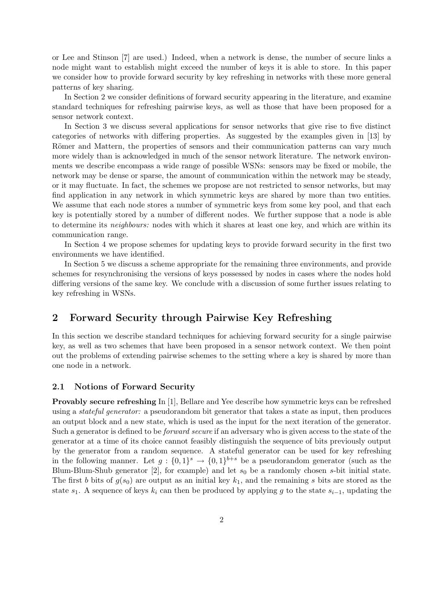or Lee and Stinson [7] are used.) Indeed, when a network is dense, the number of secure links a node might want to establish might exceed the number of keys it is able to store. In this paper we consider how to provide forward security by key refreshing in networks with these more general patterns of key sharing.

In Section 2 we consider definitions of forward security appearing in the literature, and examine standard techniques for refreshing pairwise keys, as well as those that have been proposed for a sensor network context.

In Section 3 we discuss several applications for sensor networks that give rise to five distinct categories of networks with differing properties. As suggested by the examples given in [13] by Römer and Mattern, the properties of sensors and their communication patterns can vary much more widely than is acknowledged in much of the sensor network literature. The network environments we describe encompass a wide range of possible WSNs: sensors may be fixed or mobile, the network may be dense or sparse, the amount of communication within the network may be steady, or it may fluctuate. In fact, the schemes we propose are not restricted to sensor networks, but may find application in any network in which symmetric keys are shared by more than two entities. We assume that each node stores a number of symmetric keys from some key pool, and that each key is potentially stored by a number of different nodes. We further suppose that a node is able to determine its neighbours: nodes with which it shares at least one key, and which are within its communication range.

In Section 4 we propose schemes for updating keys to provide forward security in the first two environments we have identified.

In Section 5 we discuss a scheme appropriate for the remaining three environments, and provide schemes for resynchronising the versions of keys possessed by nodes in cases where the nodes hold differing versions of the same key. We conclude with a discussion of some further issues relating to key refreshing in WSNs.

## 2 Forward Security through Pairwise Key Refreshing

In this section we describe standard techniques for achieving forward security for a single pairwise key, as well as two schemes that have been proposed in a sensor network context. We then point out the problems of extending pairwise schemes to the setting where a key is shared by more than one node in a network.

### 2.1 Notions of Forward Security

Provably secure refreshing In [1], Bellare and Yee describe how symmetric keys can be refreshed using a *stateful generator*: a pseudorandom bit generator that takes a state as input, then produces an output block and a new state, which is used as the input for the next iteration of the generator. Such a generator is defined to be forward secure if an adversary who is given access to the state of the generator at a time of its choice cannot feasibly distinguish the sequence of bits previously output by the generator from a random sequence. A stateful generator can be used for key refreshing in the following manner. Let  $g: \{0,1\}^s \to \{0,1\}^{b+s}$  be a pseudorandom generator (such as the Blum-Blum-Shub generator [2], for example) and let  $s_0$  be a randomly chosen s-bit initial state. The first b bits of  $g(s_0)$  are output as an initial key  $k_1$ , and the remaining s bits are stored as the state  $s_1$ . A sequence of keys  $k_i$  can then be produced by applying g to the state  $s_{i-1}$ , updating the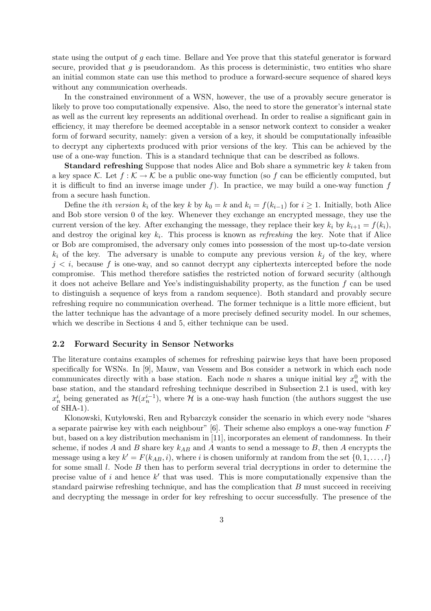state using the output of g each time. Bellare and Yee prove that this stateful generator is forward secure, provided that  $g$  is pseudorandom. As this process is deterministic, two entities who share an initial common state can use this method to produce a forward-secure sequence of shared keys without any communication overheads.

In the constrained environment of a WSN, however, the use of a provably secure generator is likely to prove too computationally expensive. Also, the need to store the generator's internal state as well as the current key represents an additional overhead. In order to realise a significant gain in efficiency, it may therefore be deemed acceptable in a sensor network context to consider a weaker form of forward security, namely: given a version of a key, it should be computationally infeasible to decrypt any ciphertexts produced with prior versions of the key. This can be achieved by the use of a one-way function. This is a standard technique that can be described as follows.

Standard refreshing Suppose that nodes Alice and Bob share a symmetric key k taken from a key space K. Let  $f: K \to K$  be a public one-way function (so f can be efficiently computed, but it is difficult to find an inverse image under f). In practice, we may build a one-way function  $f$ from a secure hash function.

Define the *i*th version  $k_i$  of the key k by  $k_0 = k$  and  $k_i = f(k_{i-1})$  for  $i \ge 1$ . Initially, both Alice and Bob store version 0 of the key. Whenever they exchange an encrypted message, they use the current version of the key. After exchanging the message, they replace their key  $k_i$  by  $k_{i+1} = f(k_i)$ , and destroy the original key  $k_i$ . This process is known as *refreshing* the key. Note that if Alice or Bob are compromised, the adversary only comes into possession of the most up-to-date version  $k_i$  of the key. The adversary is unable to compute any previous version  $k_j$  of the key, where  $j < i$ , because f is one-way, and so cannot decrypt any ciphertexts intercepted before the node compromise. This method therefore satisfies the restricted notion of forward security (although it does not acheive Bellare and Yee's indistinguishability property, as the function  $f$  can be used to distinguish a sequence of keys from a random sequence). Both standard and provably secure refreshing require no communication overhead. The former technique is a little more efficient, but the latter technique has the advantage of a more precisely defined security model. In our schemes, which we describe in Sections 4 and 5, either technique can be used.

#### 2.2 Forward Security in Sensor Networks

The literature contains examples of schemes for refreshing pairwise keys that have been proposed specifically for WSNs. In [9], Mauw, van Vessem and Bos consider a network in which each node communicates directly with a base station. Each node *n* shares a unique initial key  $x_n^0$  with the base station, and the standard refreshing technique described in Subsection 2.1 is used, with key  $x_n^i$  being generated as  $\mathcal{H}(x_n^{i-1})$ , where  $\mathcal{H}$  is a one-way hash function (the authors suggest the use of SHA-1).

Klonowski, Kutylowski, Ren and Rybarczyk consider the scenario in which every node "shares" a separate pairwise key with each neighbour" [6]. Their scheme also employs a one-way function F but, based on a key distribution mechanism in [11], incorporates an element of randomness. In their scheme, if nodes A and B share key  $k_{AB}$  and A wants to send a message to B, then A encrypts the message using a key  $k' = F(k_{AB}, i)$ , where i is chosen uniformly at random from the set  $\{0, 1, \ldots, l\}$ for some small  $l$ . Node  $B$  then has to perform several trial decryptions in order to determine the precise value of i and hence  $k'$  that was used. This is more computationally expensive than the standard pairwise refreshing technique, and has the complication that B must succeed in receiving and decrypting the message in order for key refreshing to occur successfully. The presence of the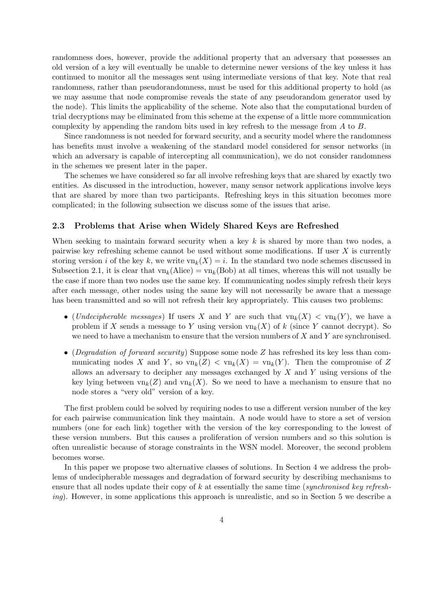randomness does, however, provide the additional property that an adversary that possesses an old version of a key will eventually be unable to determine newer versions of the key unless it has continued to monitor all the messages sent using intermediate versions of that key. Note that real randomness, rather than pseudorandomness, must be used for this additional property to hold (as we may assume that node compromise reveals the state of any pseudorandom generator used by the node). This limits the applicability of the scheme. Note also that the computational burden of trial decryptions may be eliminated from this scheme at the expense of a little more communication complexity by appending the random bits used in key refresh to the message from  $A$  to  $B$ .

Since randomness is not needed for forward security, and a security model where the randomness has benefits must involve a weakening of the standard model considered for sensor networks (in which an adversary is capable of intercepting all communication), we do not consider randomness in the schemes we present later in the paper.

The schemes we have considered so far all involve refreshing keys that are shared by exactly two entities. As discussed in the introduction, however, many sensor network applications involve keys that are shared by more than two participants. Refreshing keys in this situation becomes more complicated; in the following subsection we discuss some of the issues that arise.

#### 2.3 Problems that Arise when Widely Shared Keys are Refreshed

When seeking to maintain forward security when a key  $k$  is shared by more than two nodes, a pairwise key refreshing scheme cannot be used without some modifications. If user  $X$  is currently storing version i of the key k, we write  $vn_k(X) = i$ . In the standard two node schemes discussed in Subsection 2.1, it is clear that  $vn_k(Alice) = vn_k(Bob)$  at all times, whereas this will not usually be the case if more than two nodes use the same key. If communicating nodes simply refresh their keys after each message, other nodes using the same key will not necessarily be aware that a message has been transmitted and so will not refresh their key appropriately. This causes two problems:

- (Undecipherable messages) If users X and Y are such that  $vn_k(X) < vn_k(Y)$ , we have a problem if X sends a message to Y using version  $vn_k(X)$  of k (since Y cannot decrypt). So we need to have a mechanism to ensure that the version numbers of  $X$  and  $Y$  are synchronised.
- (Degradation of forward security) Suppose some node Z has refreshed its key less than communicating nodes X and Y, so  $vn_k(Z) < vn_k(X) = vn_k(Y)$ . Then the compromise of Z allows an adversary to decipher any messages exchanged by  $X$  and  $Y$  using versions of the key lying between  $vn_k(Z)$  and  $vn_k(X)$ . So we need to have a mechanism to ensure that no node stores a "very old" version of a key.

The first problem could be solved by requiring nodes to use a different version number of the key for each pairwise communication link they maintain. A node would have to store a set of version numbers (one for each link) together with the version of the key corresponding to the lowest of these version numbers. But this causes a proliferation of version numbers and so this solution is often unrealistic because of storage constraints in the WSN model. Moreover, the second problem becomes worse.

In this paper we propose two alternative classes of solutions. In Section 4 we address the problems of undecipherable messages and degradation of forward security by describing mechanisms to ensure that all nodes update their copy of  $k$  at essentially the same time (synchronised key refresh $inq$ ). However, in some applications this approach is unrealistic, and so in Section 5 we describe a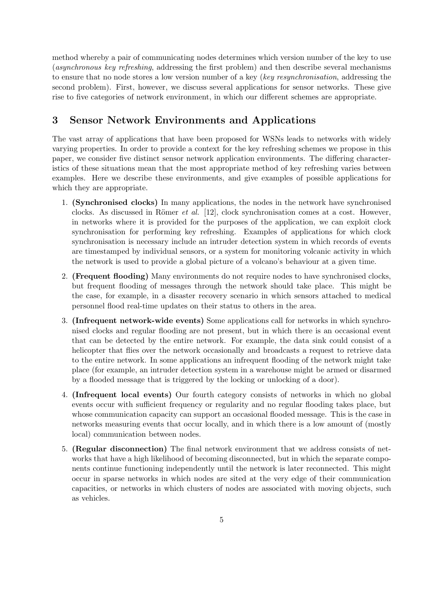method whereby a pair of communicating nodes determines which version number of the key to use (asynchronous key refreshing, addressing the first problem) and then describe several mechanisms to ensure that no node stores a low version number of a key (key resynchronisation, addressing the second problem). First, however, we discuss several applications for sensor networks. These give rise to five categories of network environment, in which our different schemes are appropriate.

## 3 Sensor Network Environments and Applications

The vast array of applications that have been proposed for WSNs leads to networks with widely varying properties. In order to provide a context for the key refreshing schemes we propose in this paper, we consider five distinct sensor network application environments. The differing characteristics of these situations mean that the most appropriate method of key refreshing varies between examples. Here we describe these environments, and give examples of possible applications for which they are appropriate.

- 1. (Synchronised clocks) In many applications, the nodes in the network have synchronised clocks. As discussed in Römer *et al.* [12], clock synchronisation comes at a cost. However, in networks where it is provided for the purposes of the application, we can exploit clock synchronisation for performing key refreshing. Examples of applications for which clock synchronisation is necessary include an intruder detection system in which records of events are timestamped by individual sensors, or a system for monitoring volcanic activity in which the network is used to provide a global picture of a volcano's behaviour at a given time.
- 2. (Frequent flooding) Many environments do not require nodes to have synchronised clocks, but frequent flooding of messages through the network should take place. This might be the case, for example, in a disaster recovery scenario in which sensors attached to medical personnel flood real-time updates on their status to others in the area.
- 3. (Infrequent network-wide events) Some applications call for networks in which synchronised clocks and regular flooding are not present, but in which there is an occasional event that can be detected by the entire network. For example, the data sink could consist of a helicopter that flies over the network occasionally and broadcasts a request to retrieve data to the entire network. In some applications an infrequent flooding of the network might take place (for example, an intruder detection system in a warehouse might be armed or disarmed by a flooded message that is triggered by the locking or unlocking of a door).
- 4. (Infrequent local events) Our fourth category consists of networks in which no global events occur with sufficient frequency or regularity and no regular flooding takes place, but whose communication capacity can support an occasional flooded message. This is the case in networks measuring events that occur locally, and in which there is a low amount of (mostly local) communication between nodes.
- 5. (Regular disconnection) The final network environment that we address consists of networks that have a high likelihood of becoming disconnected, but in which the separate components continue functioning independently until the network is later reconnected. This might occur in sparse networks in which nodes are sited at the very edge of their communication capacities, or networks in which clusters of nodes are associated with moving objects, such as vehicles.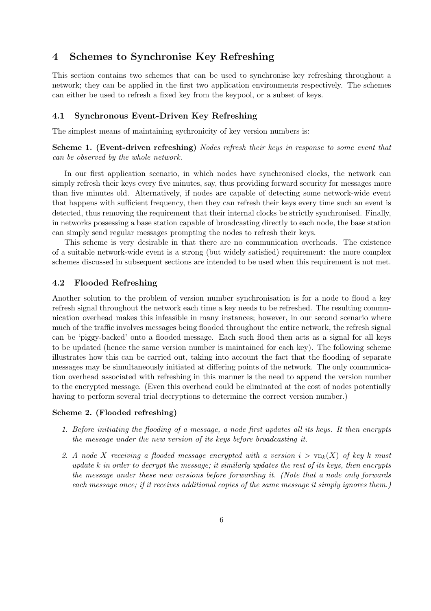## 4 Schemes to Synchronise Key Refreshing

This section contains two schemes that can be used to synchronise key refreshing throughout a network; they can be applied in the first two application environments respectively. The schemes can either be used to refresh a fixed key from the keypool, or a subset of keys.

### 4.1 Synchronous Event-Driven Key Refreshing

The simplest means of maintaining sychronicity of key version numbers is:

Scheme 1. (Event-driven refreshing) Nodes refresh their keys in response to some event that can be observed by the whole network.

In our first application scenario, in which nodes have synchronised clocks, the network can simply refresh their keys every five minutes, say, thus providing forward security for messages more than five minutes old. Alternatively, if nodes are capable of detecting some network-wide event that happens with sufficient frequency, then they can refresh their keys every time such an event is detected, thus removing the requirement that their internal clocks be strictly synchronised. Finally, in networks possessing a base station capable of broadcasting directly to each node, the base station can simply send regular messages prompting the nodes to refresh their keys.

This scheme is very desirable in that there are no communication overheads. The existence of a suitable network-wide event is a strong (but widely satisfied) requirement: the more complex schemes discussed in subsequent sections are intended to be used when this requirement is not met.

### 4.2 Flooded Refreshing

Another solution to the problem of version number synchronisation is for a node to flood a key refresh signal throughout the network each time a key needs to be refreshed. The resulting communication overhead makes this infeasible in many instances; however, in our second scenario where much of the traffic involves messages being flooded throughout the entire network, the refresh signal can be 'piggy-backed' onto a flooded message. Each such flood then acts as a signal for all keys to be updated (hence the same version number is maintained for each key). The following scheme illustrates how this can be carried out, taking into account the fact that the flooding of separate messages may be simultaneously initiated at differing points of the network. The only communication overhead associated with refreshing in this manner is the need to append the version number to the encrypted message. (Even this overhead could be eliminated at the cost of nodes potentially having to perform several trial decryptions to determine the correct version number.)

#### Scheme 2. (Flooded refreshing)

- 1. Before initiating the flooding of a message, a node first updates all its keys. It then encrypts the message under the new version of its keys before broadcasting it.
- 2. A node X receiving a flooded message encrypted with a version  $i > \text{vn}_k(X)$  of key k must update k in order to decrypt the message; it similarly updates the rest of its keys, then encrypts the message under these new versions before forwarding it. (Note that a node only forwards each message once; if it receives additional copies of the same message it simply ignores them.)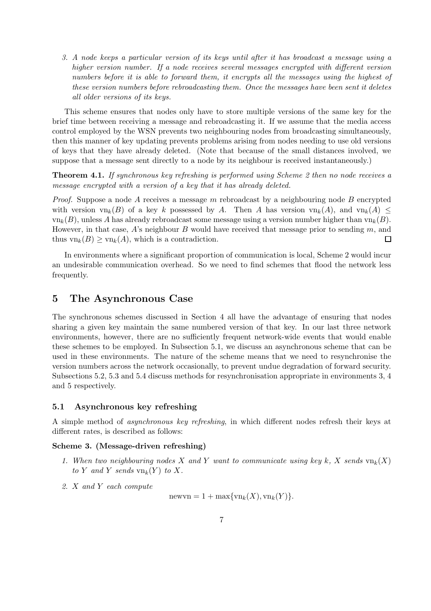3. A node keeps a particular version of its keys until after it has broadcast a message using a higher version number. If a node receives several messages encrypted with different version numbers before it is able to forward them, it encrypts all the messages using the highest of these version numbers before rebroadcasting them. Once the messages have been sent it deletes all older versions of its keys.

This scheme ensures that nodes only have to store multiple versions of the same key for the brief time between receiving a message and rebroadcasting it. If we assume that the media access control employed by the WSN prevents two neighbouring nodes from broadcasting simultaneously, then this manner of key updating prevents problems arising from nodes needing to use old versions of keys that they have already deleted. (Note that because of the small distances involved, we suppose that a message sent directly to a node by its neighbour is received instantaneously.)

Theorem 4.1. If synchronous key refreshing is performed using Scheme 2 then no node receives a message encrypted with a version of a key that it has already deleted.

*Proof.* Suppose a node A receives a message m rebroadcast by a neighbouring node B encrypted with version  $\text{vn}_k(B)$  of a key k possessed by A. Then A has version  $\text{vn}_k(A)$ , and  $\text{vn}_k(A) \leq$  $\text{vn}_k(B)$ , unless A has already rebroadcast some message using a version number higher than  $\text{vn}_k(B)$ . However, in that case, A's neighbour B would have received that message prior to sending  $m$ , and thus  $vn_k(B) \geq vn_k(A)$ , which is a contradiction. П

In environments where a significant proportion of communication is local, Scheme 2 would incur an undesirable communication overhead. So we need to find schemes that flood the network less frequently.

## 5 The Asynchronous Case

The synchronous schemes discussed in Section 4 all have the advantage of ensuring that nodes sharing a given key maintain the same numbered version of that key. In our last three network environments, however, there are no sufficiently frequent network-wide events that would enable these schemes to be employed. In Subsection 5.1, we discuss an asynchronous scheme that can be used in these environments. The nature of the scheme means that we need to resynchronise the version numbers across the network occasionally, to prevent undue degradation of forward security. Subsections 5.2, 5.3 and 5.4 discuss methods for resynchronisation appropriate in environments 3, 4 and 5 respectively.

### 5.1 Asynchronous key refreshing

A simple method of asynchronous key refreshing, in which different nodes refresh their keys at different rates, is described as follows:

#### Scheme 3. (Message-driven refreshing)

- 1. When two neighbouring nodes X and Y want to communicate using key k, X sends  $\text{vn}_k(X)$ to Y and Y sends  $\text{vn}_k(Y)$  to X.
- 2. X and Y each compute

$$
newvn = 1 + \max\{vn_k(X), vn_k(Y)\}.
$$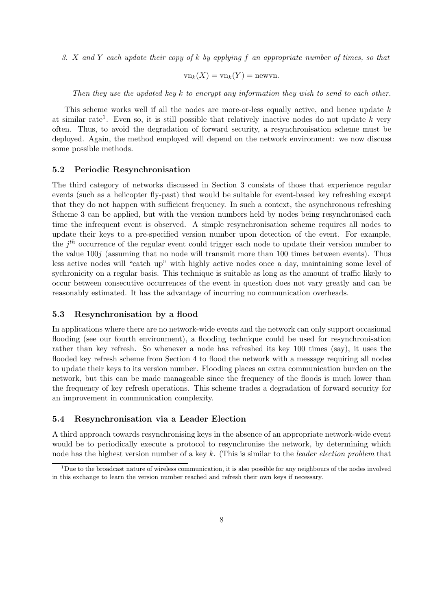3. X and Y each update their copy of k by applying f an appropriate number of times, so that

$$
\operatorname{vn}_k(X) = \operatorname{vn}_k(Y) = \text{newvn}.
$$

Then they use the updated key k to encrypt any information they wish to send to each other.

This scheme works well if all the nodes are more-or-less equally active, and hence update k at similar rate<sup>1</sup>. Even so, it is still possible that relatively inactive nodes do not update  $k$  very often. Thus, to avoid the degradation of forward security, a resynchronisation scheme must be deployed. Again, the method employed will depend on the network environment: we now discuss some possible methods.

### 5.2 Periodic Resynchronisation

The third category of networks discussed in Section 3 consists of those that experience regular events (such as a helicopter fly-past) that would be suitable for event-based key refreshing except that they do not happen with sufficient frequency. In such a context, the asynchronous refreshing Scheme 3 can be applied, but with the version numbers held by nodes being resynchronised each time the infrequent event is observed. A simple resynchronisation scheme requires all nodes to update their keys to a pre-specified version number upon detection of the event. For example, the  $j<sup>th</sup>$  occurrence of the regular event could trigger each node to update their version number to the value  $100j$  (assuming that no node will transmit more than 100 times between events). Thus less active nodes will "catch up" with highly active nodes once a day, maintaining some level of sychronicity on a regular basis. This technique is suitable as long as the amount of traffic likely to occur between consecutive occurrences of the event in question does not vary greatly and can be reasonably estimated. It has the advantage of incurring no communication overheads.

### 5.3 Resynchronisation by a flood

In applications where there are no network-wide events and the network can only support occasional flooding (see our fourth environment), a flooding technique could be used for resynchronisation rather than key refresh. So whenever a node has refreshed its key 100 times (say), it uses the flooded key refresh scheme from Section 4 to flood the network with a message requiring all nodes to update their keys to its version number. Flooding places an extra communication burden on the network, but this can be made manageable since the frequency of the floods is much lower than the frequency of key refresh operations. This scheme trades a degradation of forward security for an improvement in communication complexity.

### 5.4 Resynchronisation via a Leader Election

A third approach towards resynchronising keys in the absence of an appropriate network-wide event would be to periodically execute a protocol to resynchronise the network, by determining which node has the highest version number of a key  $k$ . (This is similar to the *leader election problem* that

 $1$ Due to the broadcast nature of wireless communication, it is also possible for any neighbours of the nodes involved in this exchange to learn the version number reached and refresh their own keys if necessary.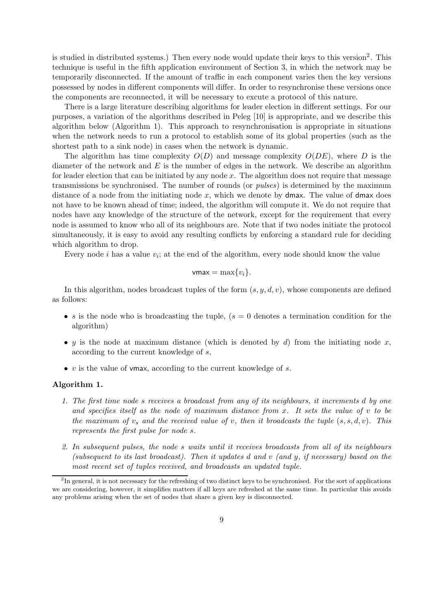is studied in distributed systems.) Then every node would update their keys to this version<sup>2</sup>. This technique is useful in the fifth application environment of Section 3, in which the network may be temporarily disconnected. If the amount of traffic in each component varies then the key versions possessed by nodes in different components will differ. In order to resynchronise these versions once the components are reconnected, it will be necessary to excute a protocol of this nature.

There is a large literature describing algorithms for leader election in different settings. For our purposes, a variation of the algorithms described in Peleg [10] is appropriate, and we describe this algorithm below (Algorithm 1). This approach to resynchronisation is appropriate in situations when the network needs to run a protocol to establish some of its global properties (such as the shortest path to a sink node) in cases when the network is dynamic.

The algorithm has time complexity  $O(D)$  and message complexity  $O(DE)$ , where D is the diameter of the network and  $E$  is the number of edges in the network. We describe an algorithm for leader election that can be initiated by any node  $x$ . The algorithm does not require that message transmissions be synchronised. The number of rounds (or pulses) is determined by the maximum distance of a node from the initiating node  $x$ , which we denote by **dmax**. The value of **dmax** does not have to be known ahead of time; indeed, the algorithm will compute it. We do not require that nodes have any knowledge of the structure of the network, except for the requirement that every node is assumed to know who all of its neighbours are. Note that if two nodes initiate the protocol simultaneously, it is easy to avoid any resulting conflicts by enforcing a standard rule for deciding which algorithm to drop.

Every node  $i$  has a value  $v_i$ ; at the end of the algorithm, every node should know the value

$$
\mathsf{vmax} = \max\{v_i\}.
$$

In this algorithm, nodes broadcast tuples of the form  $(s, y, d, v)$ , whose components are defined as follows:

- s is the node who is broadcasting the tuple,  $(s = 0$  denotes a termination condition for the algorithm)
- y is the node at maximum distance (which is denoted by d) from the initiating node x, according to the current knowledge of s,
- $v$  is the value of vmax, according to the current knowledge of  $s$ .

## Algorithm 1.

- 1. The first time node s receives a broadcast from any of its neighbours, it increments d by one and specifies itself as the node of maximum distance from  $x$ . It sets the value of v to be the maximum of  $v_s$  and the received value of v, then it broadcasts the tuple  $(s, s, d, v)$ . This represents the first pulse for node s.
- 2. In subsequent pulses, the node s waits until it receives broadcasts from all of its neighbours (subsequent to its last broadcast). Then it updates d and v (and y, if necessary) based on the most recent set of tuples received, and broadcasts an updated tuple.

 $2^2$ In general, it is not necessary for the refreshing of two distinct keys to be synchronised. For the sort of applications we are considering, however, it simplifies matters if all keys are refreshed at the same time. In particular this avoids any problems arising when the set of nodes that share a given key is disconnected.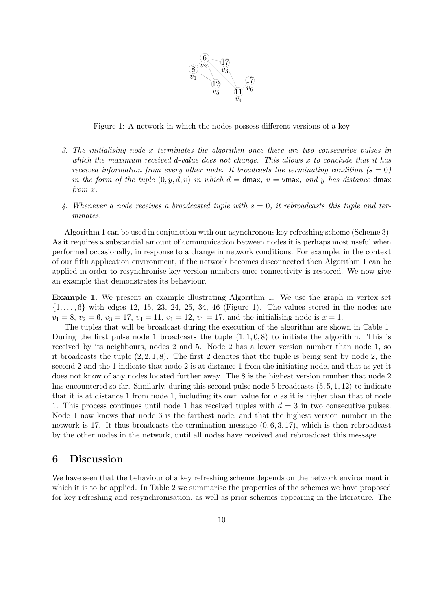

Figure 1: A network in which the nodes possess different versions of a key

- 3. The initialising node x terminates the algorithm once there are two consecutive pulses in which the maximum received d-value does not change. This allows x to conclude that it has received information from every other node. It broadcasts the terminating condition  $(s = 0)$ in the form of the tuple  $(0, y, d, v)$  in which  $d =$  dmax,  $v =$  vmax, and y has distance dmax from  $x$ .
- 4. Whenever a node receives a broadcasted tuple with  $s = 0$ , it rebroadcasts this tuple and terminates.

Algorithm 1 can be used in conjunction with our asynchronous key refreshing scheme (Scheme 3). As it requires a substantial amount of communication between nodes it is perhaps most useful when performed occasionally, in response to a change in network conditions. For example, in the context of our fifth application environment, if the network becomes disconnected then Algorithm 1 can be applied in order to resynchronise key version numbers once connectivity is restored. We now give an example that demonstrates its behaviour.

Example 1. We present an example illustrating Algorithm 1. We use the graph in vertex set  $\{1,\ldots, 6\}$  with edges 12, 15, 23, 24, 25, 34, 46 (Figure 1). The values stored in the nodes are  $v_1 = 8$ ,  $v_2 = 6$ ,  $v_3 = 17$ ,  $v_4 = 11$ ,  $v_1 = 12$ ,  $v_1 = 17$ , and the initialising node is  $x = 1$ .

The tuples that will be broadcast during the execution of the algorithm are shown in Table 1. During the first pulse node 1 broadcasts the tuple  $(1, 1, 0, 8)$  to initiate the algorithm. This is received by its neighbours, nodes 2 and 5. Node 2 has a lower version number than node 1, so it broadcasts the tuple  $(2, 2, 1, 8)$ . The first 2 denotes that the tuple is being sent by node 2, the second 2 and the 1 indicate that node 2 is at distance 1 from the initiating node, and that as yet it does not know of any nodes located further away. The 8 is the highest version number that node 2 has encountered so far. Similarly, during this second pulse node 5 broadcasts  $(5, 5, 1, 12)$  to indicate that it is at distance 1 from node 1, including its own value for  $v$  as it is higher than that of node 1. This process continues until node 1 has received tuples with  $d = 3$  in two consecutive pulses. Node 1 now knows that node 6 is the farthest node, and that the highest version number in the network is 17. It thus broadcasts the termination message  $(0, 6, 3, 17)$ , which is then rebroadcast by the other nodes in the network, until all nodes have received and rebroadcast this message.

## 6 Discussion

We have seen that the behaviour of a key refreshing scheme depends on the network environment in which it is to be applied. In Table 2 we summarise the properties of the schemes we have proposed for key refreshing and resynchronisation, as well as prior schemes appearing in the literature. The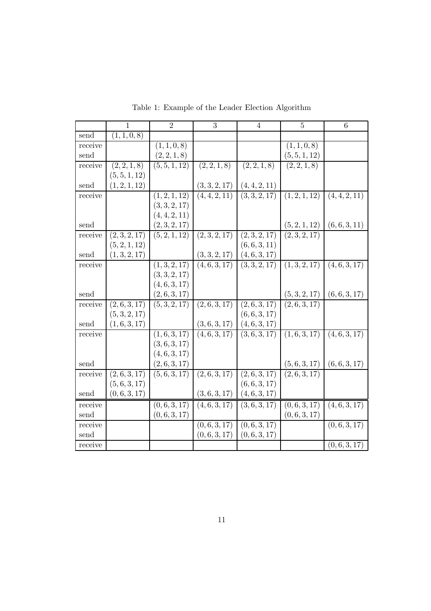|         | $\mathbf{1}$  | $\overline{2}$ | $\overline{3}$             | $\overline{4}$          | $\overline{5}$ | $\overline{6}$ |
|---------|---------------|----------------|----------------------------|-------------------------|----------------|----------------|
| send    | (1, 1, 0, 8)  |                |                            |                         |                |                |
| receive |               | (1, 1, 0, 8)   |                            |                         | (1, 1, 0, 8)   |                |
| send    |               | (2, 2, 1, 8)   |                            |                         | (5, 5, 1, 12)  |                |
| receive | (2, 2, 1, 8)  | (5, 5, 1, 12)  | (2, 2, 1, 8)               | (2, 2, 1, 8)            | (2, 2, 1, 8)   |                |
|         | (5, 5, 1, 12) |                |                            |                         |                |                |
| send    | (1, 2, 1, 12) |                | (3,3,2,17)                 | (4, 4, 2, 11)           |                |                |
| receive |               | (1, 2, 1, 12)  | (4, 4, 2, 11)              | (3,3,2,17)              | (1, 2, 1, 12)  | (4, 4, 2, 11)  |
|         |               | (3, 3, 2, 17)  |                            |                         |                |                |
|         |               | (4, 4, 2, 11)  |                            |                         |                |                |
| send    |               | (2,3,2,17)     |                            |                         | (5, 2, 1, 12)  | (6, 6, 3, 11)  |
| receive | (2, 3, 2, 17) | (5, 2, 1, 12)  | (2, 3, 2, 17)              | (2, 3, 2, 17)           | (2, 3, 2, 17)  |                |
|         | (5, 2, 1, 12) |                |                            | (6, 6, 3, 11)           |                |                |
| send    | (1, 3, 2, 17) |                | (3,3,2,17)                 | (4, 6, 3, 17)           |                |                |
| receive |               | (1, 3, 2, 17)  | (4, 6, 3, 17)              | (3, 3, 2, 17)           | (1, 3, 2, 17)  | (4, 6, 3, 17)  |
|         |               | (3, 3, 2, 17)  |                            |                         |                |                |
|         |               | (4, 6, 3, 17)  |                            |                         |                |                |
| send    |               | (2, 6, 3, 17)  |                            |                         | (5,3,2,17)     | (6, 6, 3, 17)  |
| receive | (2, 6, 3, 17) | (5, 3, 2, 17)  | $(2, 6, 3, 1\overline{7})$ | (2, 6, 3, 17)           | (2, 6, 3, 17)  |                |
|         | (5, 3, 2, 17) |                |                            | (6, 6, 3, 17)           |                |                |
| send    | (1, 6, 3, 17) |                | (3, 6, 3, 17)              | (4, 6, 3, 17)           |                |                |
| receive |               | (1, 6, 3, 17)  | (4, 6, 3, 17)              | $\overline{(3,6,3,17)}$ | (1, 6, 3, 17)  | (4, 6, 3, 17)  |
|         |               | (3, 6, 3, 17)  |                            |                         |                |                |
|         |               | (4, 6, 3, 17)  |                            |                         |                |                |
| send    |               | (2,6,3,17)     |                            |                         | (5, 6, 3, 17)  | (6, 6, 3, 17)  |
| receive | (2, 6, 3, 17) | (5, 6, 3, 17)  | (2, 6, 3, 17)              | (2, 6, 3, 17)           | (2, 6, 3, 17)  |                |
|         | (5, 6, 3, 17) |                |                            | (6, 6, 3, 17)           |                |                |
| send    | (0,6,3,17)    |                | (3, 6, 3, 17)              | (4, 6, 3, 17)           |                |                |
| receive |               | (0, 6, 3, 17)  | (4, 6, 3, 17)              | $\overline{(3,6,3,17)}$ | (0, 6, 3, 17)  | (4, 6, 3, 17)  |
| send    |               | (0, 6, 3, 17)  |                            |                         | (0, 6, 3, 17)  |                |
| receive |               |                | (0, 6, 3, 17)              | (0, 6, 3, 17)           |                | (0, 6, 3, 17)  |
| send    |               |                | (0, 6, 3, 17)              | (0, 6, 3, 17)           |                |                |
| receive |               |                |                            |                         |                | (0, 6, 3, 17)  |

Table 1: Example of the Leader Election Algorithm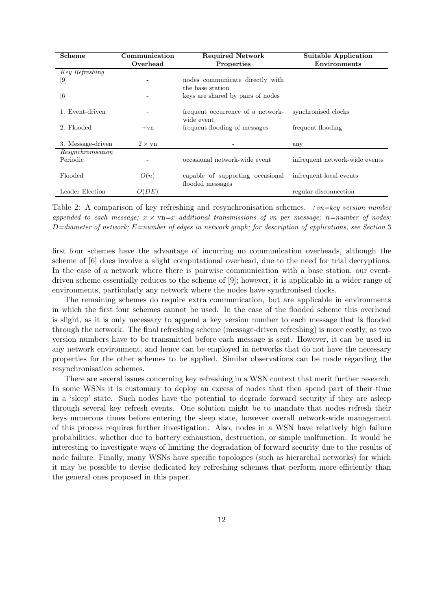| Communication<br><b>Scheme</b>                                                                                                                                                                                                                              |                      | <b>Required Network</b>           | <b>Suitable Application</b>    |  |
|-------------------------------------------------------------------------------------------------------------------------------------------------------------------------------------------------------------------------------------------------------------|----------------------|-----------------------------------|--------------------------------|--|
|                                                                                                                                                                                                                                                             | Overhead             | Properties                        | <b>Environments</b>            |  |
| Key Refreshing                                                                                                                                                                                                                                              |                      |                                   |                                |  |
| [9]                                                                                                                                                                                                                                                         |                      | nodes communicate directly with   |                                |  |
|                                                                                                                                                                                                                                                             |                      | the base station                  |                                |  |
| $[6] % \includegraphics[width=0.9\columnwidth]{figures/fig_0a.pdf} \caption{A small number of samples of the corresponding times of the data and the number of samples of the data. The blue lines are the same as in Figure \ref{fig:10}.} \label{fig:10}$ |                      | keys are shared by pairs of nodes |                                |  |
|                                                                                                                                                                                                                                                             |                      |                                   |                                |  |
| 1. Event-driven                                                                                                                                                                                                                                             |                      | frequent occurrence of a network- | synchronised clocks            |  |
|                                                                                                                                                                                                                                                             |                      | wide event                        |                                |  |
| 2. Flooded                                                                                                                                                                                                                                                  | $+vn$                | frequent flooding of messages     | frequent flooding              |  |
|                                                                                                                                                                                                                                                             |                      |                                   |                                |  |
| 3. Message-driven                                                                                                                                                                                                                                           | $2 \times \text{vn}$ |                                   | any                            |  |
| Resynchronisation                                                                                                                                                                                                                                           |                      |                                   |                                |  |
| Periodic                                                                                                                                                                                                                                                    |                      | occasional network-wide event     | infrequent network-wide events |  |
|                                                                                                                                                                                                                                                             |                      |                                   |                                |  |
| Flooded                                                                                                                                                                                                                                                     | O(n)                 | capable of supporting occasional  | infrequent local events        |  |
|                                                                                                                                                                                                                                                             |                      | flooded messages                  |                                |  |
| Leader Election                                                                                                                                                                                                                                             | O(DE)                |                                   | regular disconnection          |  |

Table 2: A comparison of key refreshing and resynchronisation schemes.  $+vn=key$  version number appended to each message;  $x \times \text{vn} = x$  additional transmissions of vn per message; n=number of nodes;  $D=$ diameter of network;  $E=$ number of edges in network graph; for description of applications, see Section 3

first four schemes have the advantage of incurring no communication overheads, although the scheme of [6] does involve a slight computational overhead, due to the need for trial decryptions. In the case of a network where there is pairwise communication with a base station, our eventdriven scheme essentially reduces to the scheme of [9]; however, it is applicable in a wider range of environments, particularly any network where the nodes have synchronised clocks.

The remaining schemes do require extra communication, but are applicable in environments in which the first four schemes cannot be used. In the case of the flooded scheme this overhead is slight, as it is only necessary to append a key version number to each message that is flooded through the network. The final refreshing scheme (message-driven refreshing) is more costly, as two version numbers have to be transmitted before each message is sent. However, it can be used in any network environment, and hence can be employed in networks that do not have the necessary properties for the other schemes to be applied. Similar observations can be made regarding the resynchronisation schemes.

There are several issues concerning key refreshing in a WSN context that merit further research. In some WSNs it is customary to deploy an excess of nodes that then spend part of their time in a 'sleep' state. Such nodes have the potential to degrade forward security if they are asleep through several key refresh events. One solution might be to mandate that nodes refresh their keys numerous times before entering the sleep state, however overall network-wide management of this process requires further investigation. Also, nodes in a WSN have relatively high failure probabilities, whether due to battery exhaustion, destruction, or simple malfunction. It would be interesting to investigate ways of limiting the degradation of forward security due to the results of node failure. Finally, many WSNs have specific topologies (such as hierarchal networks) for which it may be possible to devise dedicated key refreshing schemes that perform more efficiently than the general ones proposed in this paper.